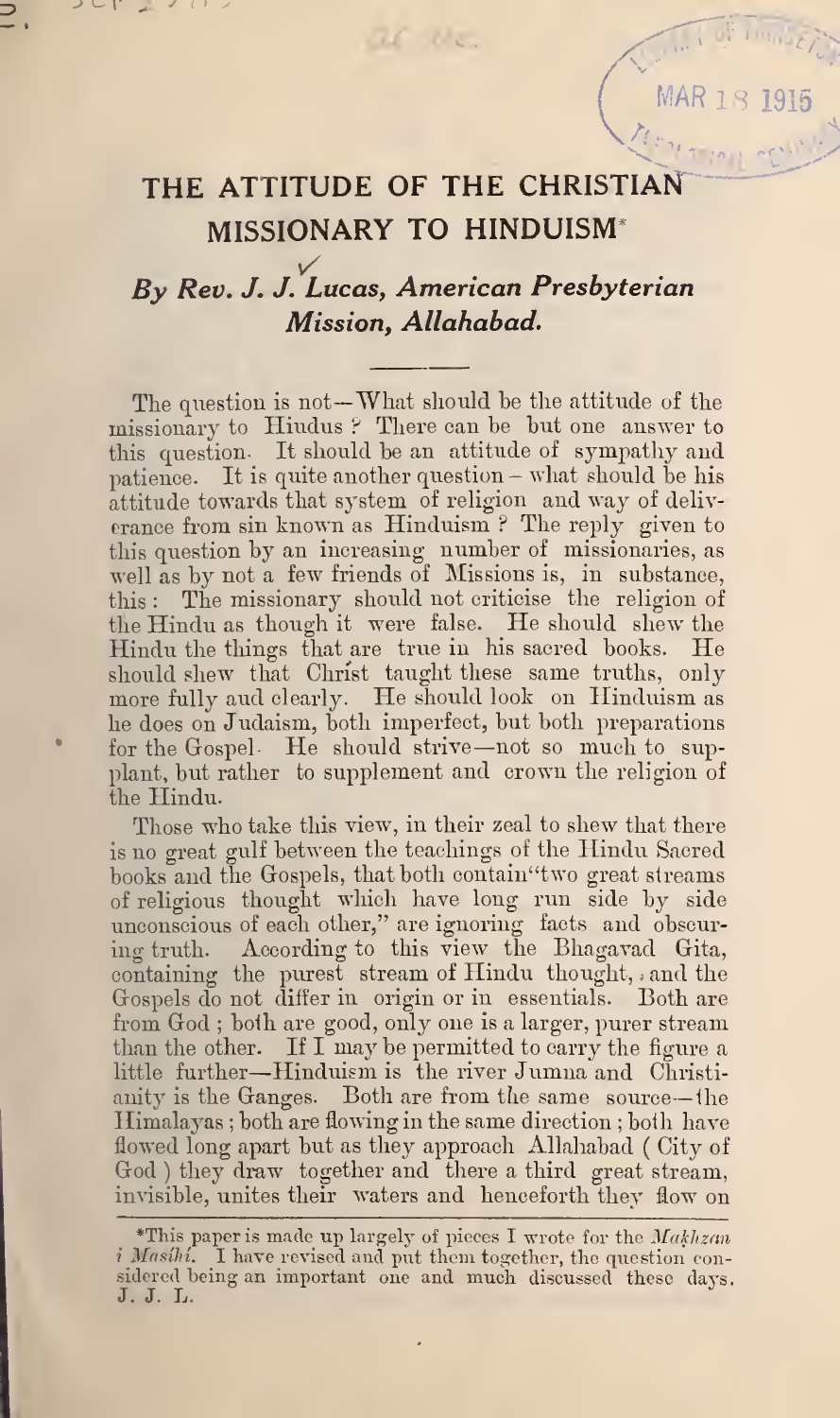w.ar i  $\lambda$  1919  $-$ 

V

Mary 1

## THE ATTITUDE OF THE CHRISTIAN MISSIONARY TO HINDUISM\*

al la

 $\overline{\phantom{a}}$ 

## By Rev. J. J. Lucas, American Presbyterian Mission, Allahabad.

The question is not—What should he the attitude of the missionary to Hindus? There can be but one answer to this question. It should be an attitude of sympathy and patience. It is quite another question - what should he his attitude towards that system of religion and way of deliv erance from sin known as Hinduism ? The reply given to this question by an increasing number of missionaries, as well as by not a few friends of Missions is, in substance, this : The missionary should not criticise the religion of the Hindu as though it were false. He should shew the Hindu the things that are true in his sacred books. He should shew that Christ taught these same truths, only more fully aud clearly. He should look on Hinduism as he does on Judaism, both imperfect, but both preparations for the Gospel- He should strive —not so much to supplant, hut rather to supplement and crown the religion of the Hindu.

Those who take this view, in their zeal to shew that there is no great gulf between the teachings of the Hindu Sacred hooks and the Giospels, that both contain"two great streams of religious thought which have long run side by side unconscious of each other," are ignoring facts and obscuring truth. According to this view the Bhagavad Gita, containing the purest stream of Hindu thought, ; and the Gospels do not differ in origin or in essentials. Both are from God ; both are good, only one is a larger, purer stream than the other. If I may be permitted to carry the figure a little further—Hinduism is the river Jumna and Christianity is the Ganges. Both are from the same source—the Himalayas ; both are flowing in the same direction ; both have flowed long apart hut as they approach Allahabad ( City of God ) they draw together and there a third great stream, invisible, unites their waters and henceforth they flow on

<sup>\*</sup>This paper is made up largely of pieces I wrote for the  $Makhzan$ i Masihi. I have revised and put them together, the question considered being an important one and much discussed these days.<br>J. J. L.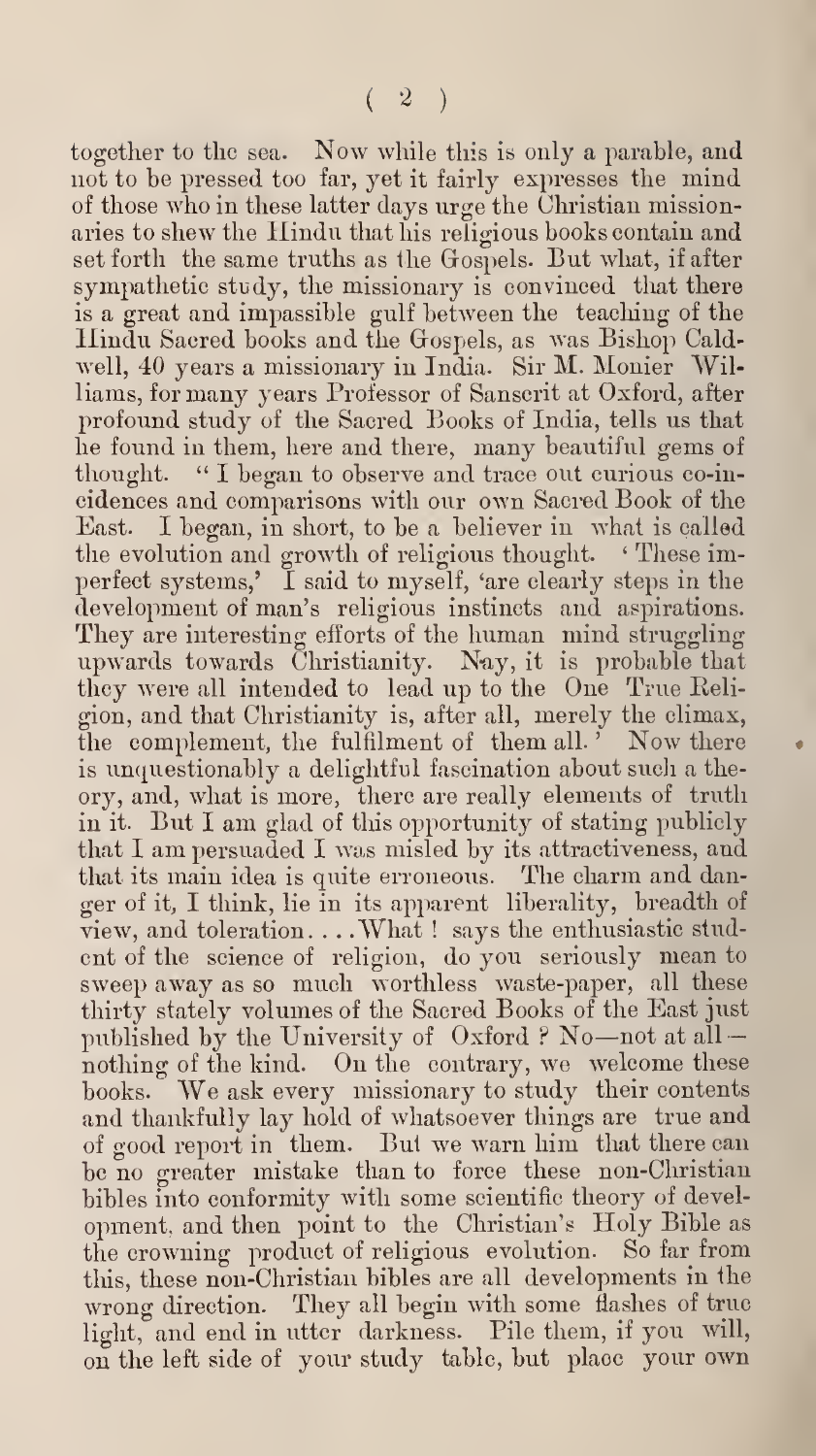together to tlie sea. Now while this is only <sup>a</sup> parable, and not to be pressed too far, yet it fairly expresses the mind of those who in these latter days urge the Christian missionaries to shew the Hindu that his religious books contain and set forth the same truths as the Gospels. But what, if after sympathetic study, the missionary is convinced that there is a great and impassible gulf between the teaching of the Hindu Sacred books and the Gospels, as was Bishop Caldwell, 40 years a missionary in India. Sir M. Monier Williams, for many years Professor of Sanscrit at Oxford, after profound study of the Sacred Books of India, tells us that he found in them, here and there, many beautiful gems of " I began to observe and trace out curious co-incidences and comparisons with our own Sacred Book of the East. I began, in short, to be a believer in what is called the evolution and growth of religious thought. ' These imperfect systems,' I said to myself, 'are clearly steps in the development of man's religious instincts and aspirations. They are interesting efforts of the human mind struggling upwards towards Christianity. Nay, it is probable that they were all intended to lead up to the One True Religion, and that Christianity is, after all, merely the climax, the complement, the fulfilment of them all.<sup>5</sup> Now there is unquestionably a delightful fascination about such a theory, and, what is more, there are really elements of truth in it. But <sup>I</sup> am glad of this opportunity of stating publicly that <sup>I</sup> am persuaded <sup>I</sup> was misled by its attractiveness, and that its main idea is quite erroneous. The charm and danger of it, I think, lie in its apparent liberality, breadth of view, and toleration. . . .What ! says the enthusiastic stud ent of the science of religion, do you seriously mean to sweep away as so much worthless waste-paper, all these thirty stately volumes of the Sacred Books of the East just published by the University of Oxford ? No—not at all nothing of the kind. On the contrary, we welcome these books. We ask every missionary to study their contents and thankfully lay hold of whatsoever things are true and of good report in them. Bu1 we warn him that there can be no greater mistake than to force these non-Christian bibles into conformity with some scientific theory of development, and then point to the Christian's Holy Bible as the crowning product of religious evolution. So far from this, these non-Christian bibles are all developments in the wrong direction. They all begin with some flashes of true light, and end in utter darkness. Pile them, if you will, on the left side of your study table, but place your own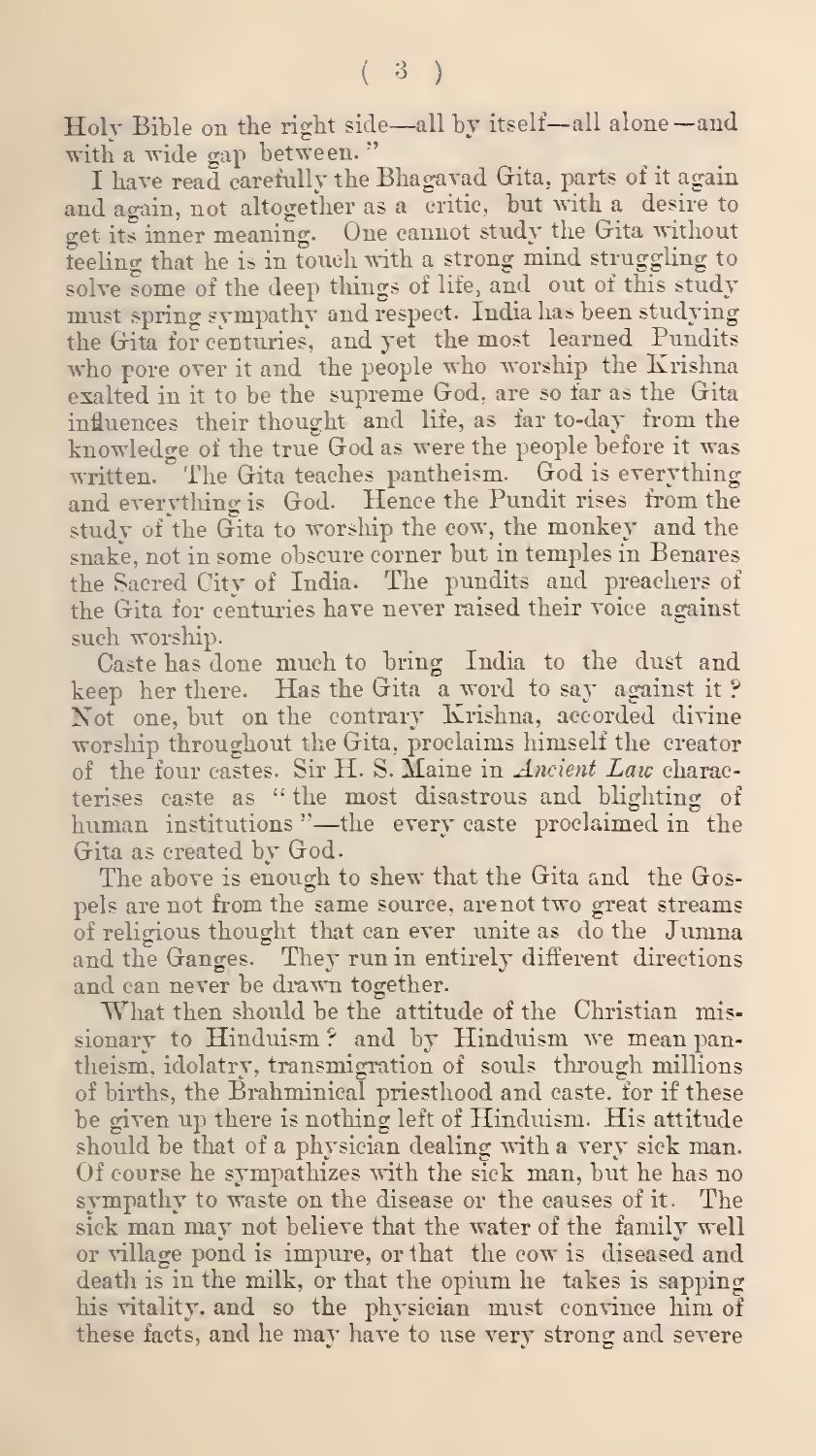Holy Bible on the right side—all by itself— all alone—and with a wide gap between. '

I have read carefully the Bhagavad Giita, parts of it again and again, not altogether as a critic, but with a desire to get its inner meaning. One cannot study the Gita without teeling that he is in touch with a strong mind struggling to solve some of the deep things of life, and out of this study must spring sympathy and respect. India has been studying the Gita for centuries, and yet the most learned Pundits who pore over it and the people who worship the Krishna exalted in it to be the supreme God, are so far as the Gita influences their thought and life, as far to-day from the knowledge of the true God as were the people before it was written. The Gita teaches pantheism. God is everything and everything is God. Hence the Pundit rises from the study of the Gita to worship the cow, the monkey and the snake, not in some obscure corner but in temples in Benares the Sacred City of India. The pundits and preachers of the Gita for centuries have never raised their voice against such worship.

Caste has done much to bring India to the dust and keep her there. Has the Gita a word to say against it ? Not one, but on the contrary Krishna, accorded divine worship throughout the Gita, proclaims himself the creator of the four castes. Sir H. S. Maine in *Ancient Law* characterises caste as " the most disastrous and blighting of human institutions "—the every caste proclaimed in the Gita as created by God.

The above is enough to shew that the Gita and the Gospels are not from the same source, are not two great streams of religious thought that can ever unite as do the Jumna and the Ganges. They run in entirely different directions and can never be drawn together.

What then should be the attitude of the Christian missionary to Hinduism? and by Hinduism we mean pantheism, idolatry, transmigration of souls through millions of births, the Brahminical priesthood and caste, for if these be given up there is nothing left of Hinduism. His attitude should be that of a physician dealing with a very sick man. Of course he sympathizes with the sick man, but he has no sympathy to waste on the disease or the causes of it. The sick man may not believe that the water of the family well or village pond is impure, or that the cow is diseased and death is in the milk, or that the opium he takes is sapping his vitality, and so the physician must convince him of these facts, and he may have to use very strong and severe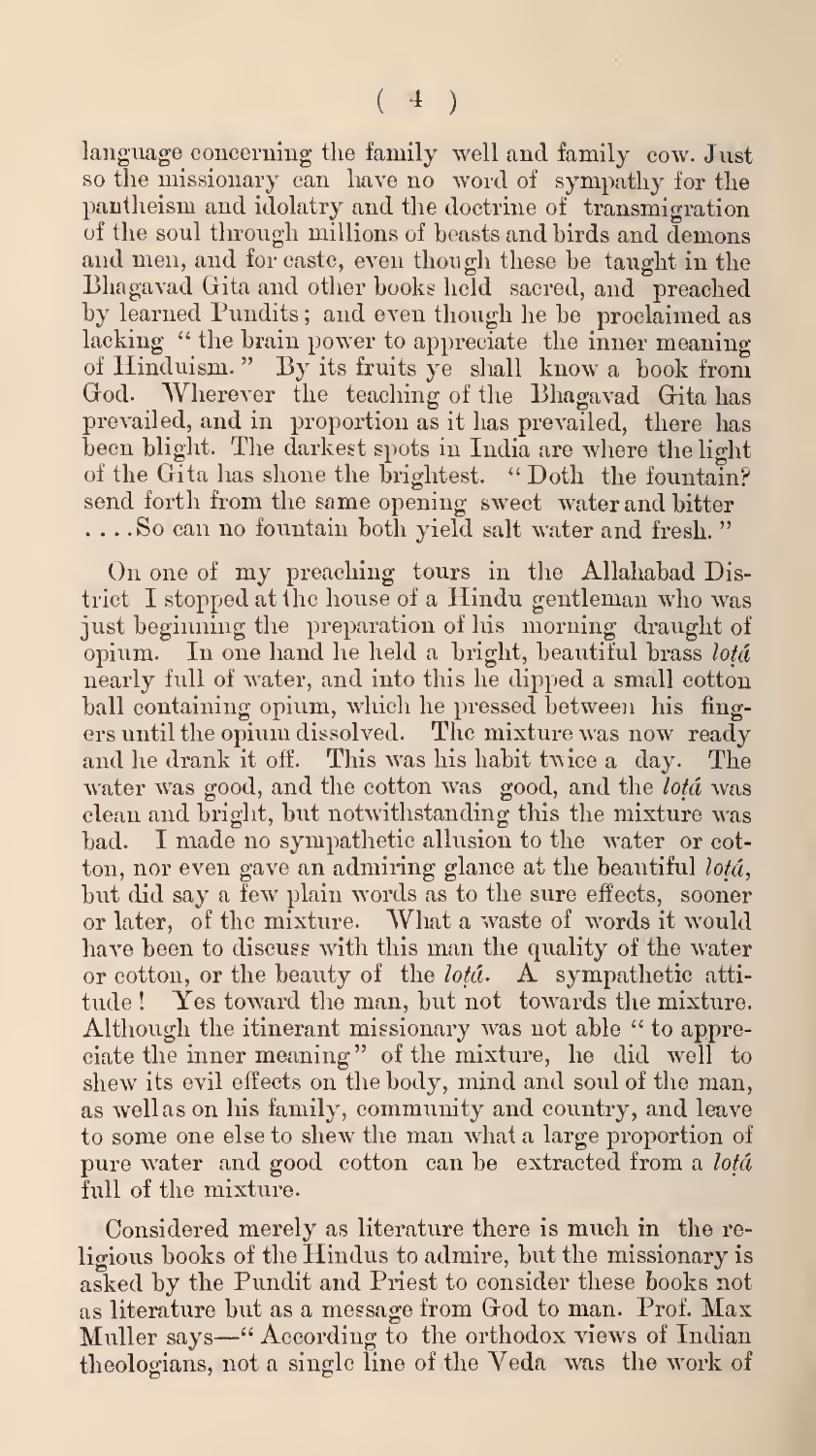language concerning the family well and family cow. Just so the missionary can have no word of sympathy for the pantheism and idolatry and the doctrine of transmigration of the soul through millions of beasts and birds and demons and men, and for caste, even though these be taught in the Bhagavad Gita and other hooks held sacred, and preached by learned Pundits ; and even though he he proclaimed as lacking " the brain power to appreciate the inner meaning of Hinduism. " By its fruits ye shall know <sup>a</sup> book from Wherever the teaching of the Bhagavad Gita has prevailed, and in proportion as it has prevailed, there has been blight. The darkest spots in India are where the light of the Gita has shone the brightest. " Doth the fountain? send forth from the same opening sweet water and bitter ... .So can no fountain both yield salt water and fresh. "

On one of my preaching tours in the Allahabad District I stopped at the house of a Hindu gentleman who was just beginning the preparation of his morning draught of opium. In one hand he held a bright, beautiful brass lotá nearly full of water, and into this he dipped a small cotton ball containing opium, which he pressed between his fing ers until the opium dissolved. The mixture was now ready and he drank it off. This was his habit twice a day. The water was good, and the cotton was good, and the *lota* was clean and bright, but notwithstanding this the mixture was bad. I made no sympathetic allusion to the water or cotton, nor even gave an admiring glance at the beautiful lota, but did say a few plain words as to the sure effects, sooner or later, of the mixture. What a waste of words it would have been to discuss with this man the quality of the water or cotton, or the beauty of the *lota*. A sympathetic attitude! Yes toward the man, but not towards the mixture. Although the itinerant missionary was not able " to appreciate the inner meaning" of the mixture, he did well to shew its evil effects on the body, mind and soul of the man, as wellas on his family, community and country, and leave to some one else to shew the man what a large proportion of pure water and good cotton can be extracted from a lota full of the mixture.

Considered merely as literature there is much in the re ligious books of the Hindus to admire, but the missionary is asked by the Pundit and Priest to consider these books not as literature but as <sup>a</sup> message from God to man. Prof. Max Muller says—" According to the orthodox views of Indian theologians, not a single line of the Veda was the work of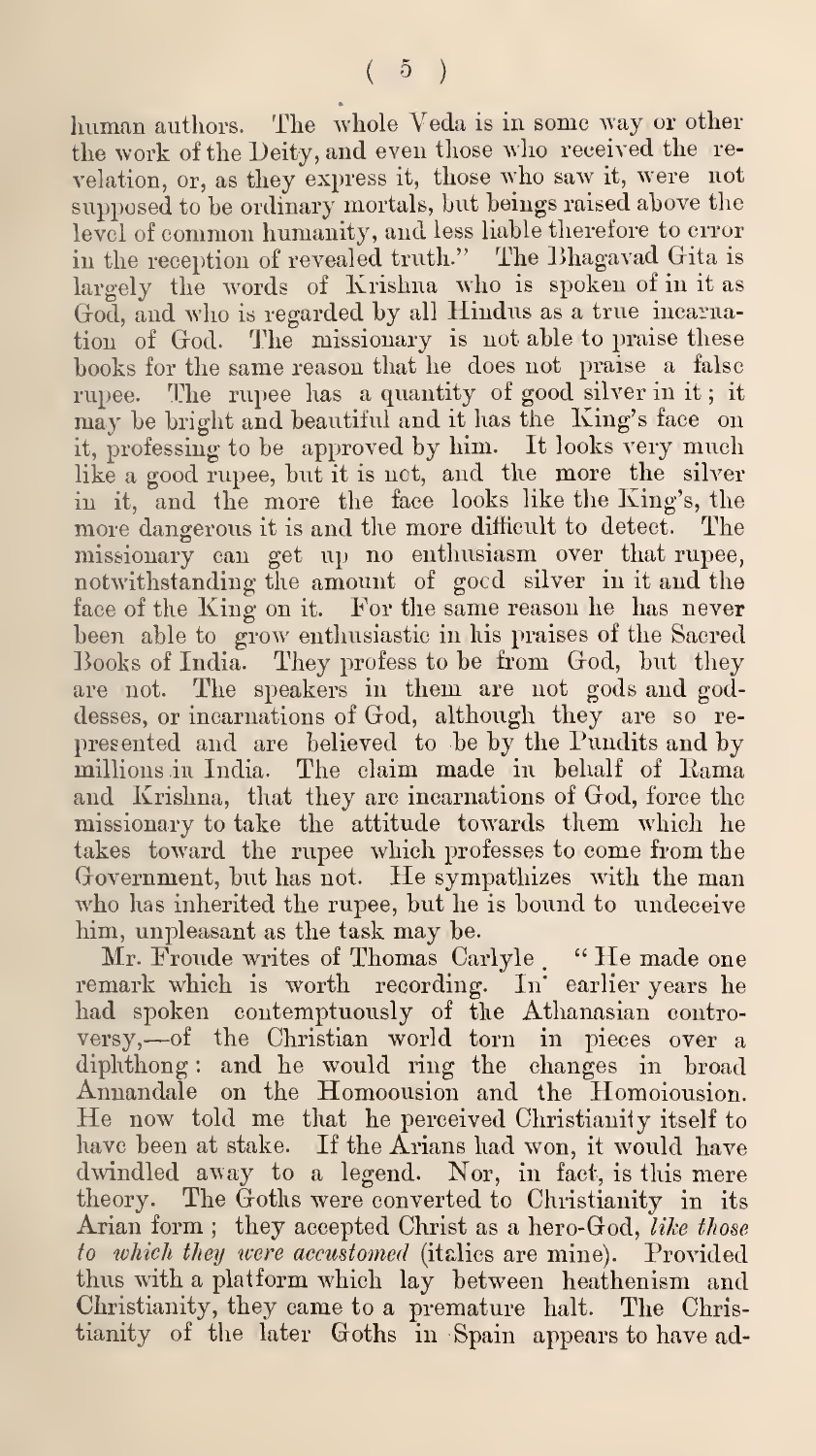human authors. The whole Veda is in some way or other the work of the Deity, and even those who received the re velation, or, as they express it, those who saw it, were not supposed to be ordinary mortals, but beings raised above the level of common humanity, and less liable therefore to error in the reception of revealed truth." The Bhagavad Gita is largely the words of Krishna who is spoken of in it as God, and who is regarded by all Hindus as a true incarnation of God. The missionary is not able to praise these books for the same reason that he does not praise a false rupee. The rupee has a quantity of good silver in it ; it may be bright and beautiful and it has the King's face on it, professing to be approved by him. It looks very much like a good rupee, but it is not, and the more the silver in it, and the more the face looks like the King's, the more dangerous it is and the more difficult to detect. The missionary can get up no enthusiasm over that rupee, notwithstanding the amount of gocd silver in it and the face of the King on it. For the same reason he has never been able to grow enthusiastic in his praises of the Sacred Books of India. They profess to be from God, but they are not. The speakers in them are not gods and goddesses, or incarnations of God, although they are so re presented and are believed to be by the Pundits and by millions in India. The claim made in behalf of Kama and Krishna, that they are incarnations of God, force the missionary to take the attitude towards them which he takes toward the rupee which professes to come from the Government, but has not. He sympathizes with the man who has inherited the rupee, but he is bound to undeceive him, unpleasant as the task may be.

Mr. Fronde writes of Thomas Carlyle . " He made one remark which is worth recording. In' earlier years he had spoken contemptuously of the Athanasian controversy,—of the Christian world torn in pieces over <sup>a</sup> diphthong : and he would ring the changes in broad Annandale on the Homoousion and the Homoiousion. He now told me that he perceived Christianity itself to have been at stake. If the Arians had won, it would have dwindled avay to a legend. Nor, in fact, is this mere theory. The Goths were converted to Christianity in its Arian form; they accepted Christ as a hero-God, like those to which they were accustomed (italies are mine). Provided thus with a platform which lay between heathenism and Christianity, they came to a premature halt. The Christianity of the later Goths in Spain appears to have ad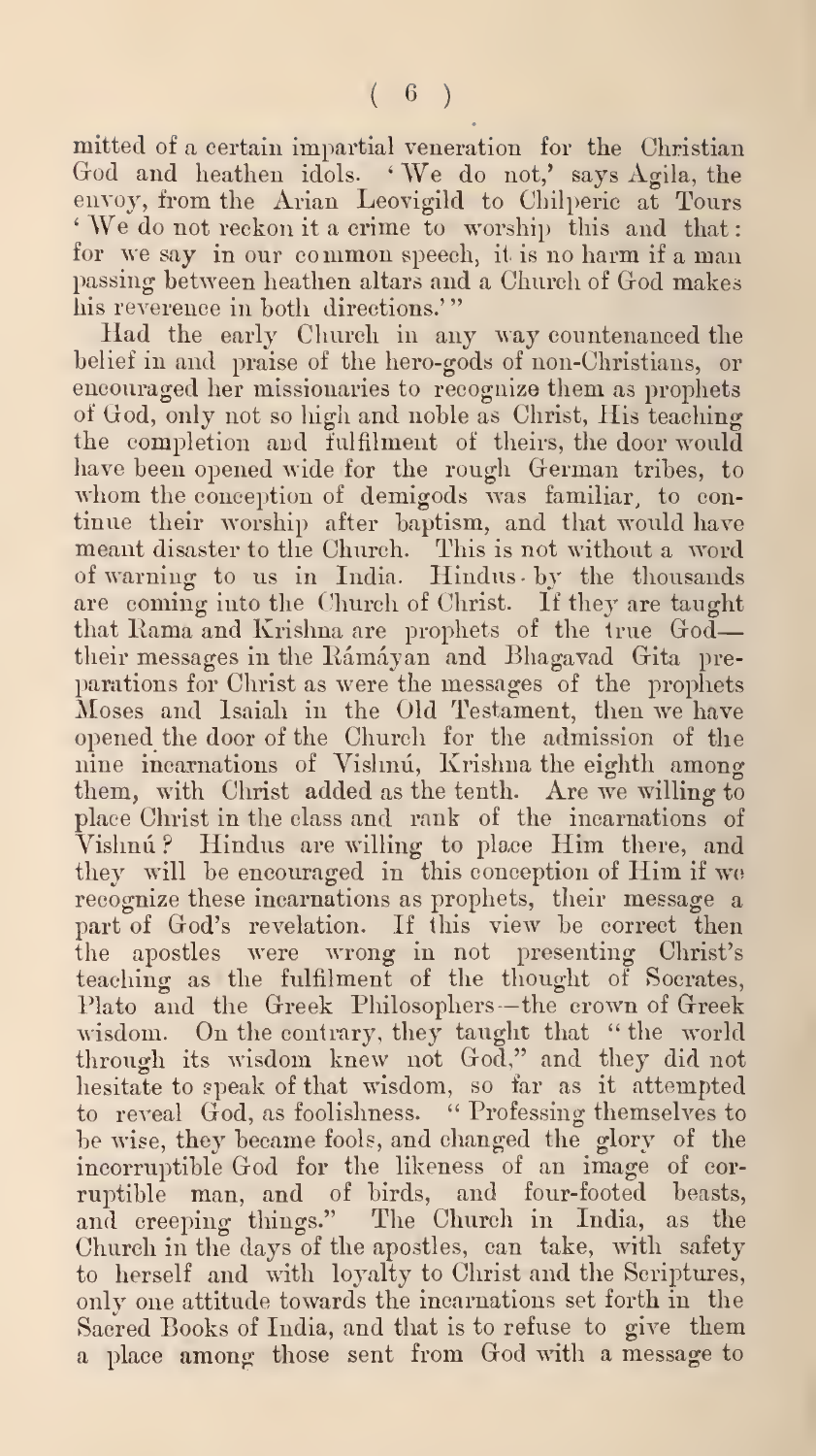mitted of a certain impartial veneration for the Christian God and heathen idols. 'We do not,' says Agila, the envoy, from the Arian Leovigild to Chilperic at Tours ' AVe do not reckon it a crime to worship this and that for we say in our common speech, it is no harm if <sup>a</sup> man passing between heathen altars and a Church of God makes<br>his reverence in both-directions.'''

Had the early Church in any way countenanced the belief in and praise of the hero-gods of non-Christians, or encouraged her missionaries to recognize them as prophets of Cod, only not so higli and noble as Christ, His teaching the completion and fulfilment of theirs, the door would<br>have been opened wide for the rough German tribes, to whom the conception of demigods was familiar, to continue their worship after baptism, and that would have meant disaster to the Church. This is not without a word of warning to us in India. Hindus by the thousands are coming into the Church of Christ. If they are taught that Rama and Krishna are prophets of the true Godtheir messages in the Rámáyan and Bhagavad Gita preparations for Christ as were the messages of the prophets Moses and Isaiali in the Old Testament, then we have opened the door of the Church for the admission of the nine incarnations of Vishnu, Krishna the eighth among them, with Christ added as the tenth. Are we willing to place Christ in the class and rank of the incarnations of Vishnú? Hindus are willing to place Him there, and they will be encouraged in this conception of Him if we recognize these incarnations as prophets, their message a part of Cod's revelation. If this view he correct then the apostles were wrong in not presenting Christ's teaching as the fulfilment of the thought of Socrates, Plato and the Greek Philosophers—the crown of Greek wisdom. On the contrary, they taught that " the world through its wisdom knew not Cod," and they did not hesitate to speak of that wisdom, so far as it attempted to reveal God, as foolishness. "Professing themselves to he wise, they became fools, and changed the glory of the incorruptible God for the likeness of an image of cor ruptible man, and of birds, and four-footed beasts, and creeping things." The Church in India, as the Church in tlie days of the apostles, can take, with safety to herself and with loyalty to Christ and the Scriptures, only one attitude towards the incarnations set forth in the Sacred Books of India, and that is to refuse to give them a place among those sent from Cod with a message to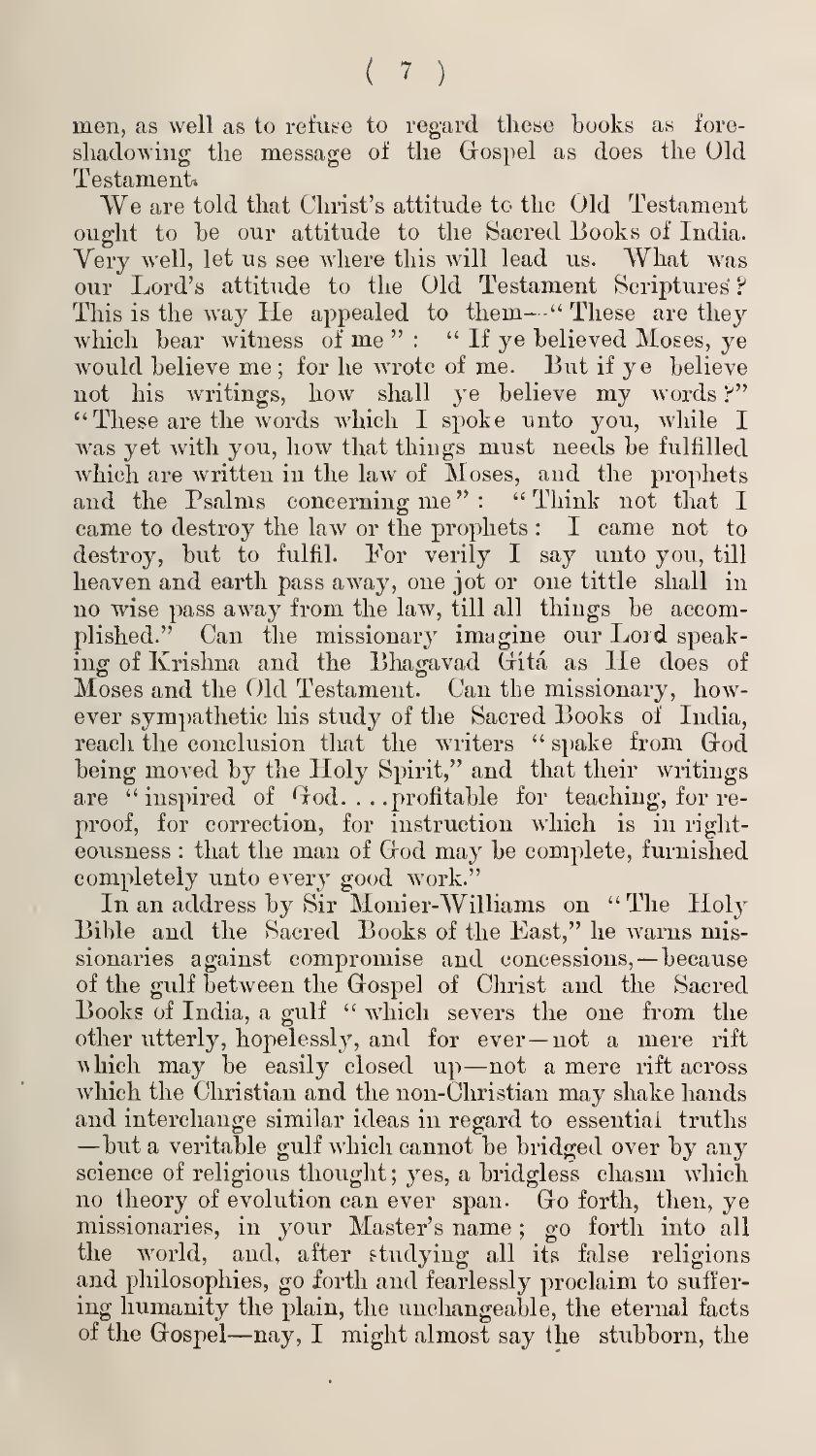men, as well as to refuse to regard these hooks as fore shadowing the message of the Gospel as does the Old Testament

We are told that Christ's attitude to the Old Testament ought to he our attitude to the Sacred Books of India. Very well, let us see where this will lead us. What was our Lord's attitude to the Old Testament Scriptures <sup>P</sup> This is the way He appealed to them-" These are they which bear witness of me": " If ye believed Moses, ye would believe me; for he wrote of me. But if ye believe not his writings, how shall ye believe my words?" "These are the words which I spoke unto you, while I was yet with you, how that things must needs he fulfilled which are written in the law of Moses, and the prophets and the Psalms concerning me": "Think not that I came to destroy the law or the prophets ; I came not to destroy, hut to fulfil. For verily I say unto you, till heaven and earth pass away, one jot or one tittle shall in no wise pass away from the law, till all things be accomplished." Can the missionary imagine our Lord speaking of Krishna and the Bhagavad Gita as He does of Moses and the Old Testament. Can the missionary, horv ever sympathetic his study of the Sacred Books of India, reach the conclusion that the writers "spake from God being moved by the Holy Spirit," and that their writings are "inspired of God....profitable for teaching, for reproof, for correction, for instruction which is in right eousness : that the man of God may be complete, furnished completely unto every good work."

In an address by Sir Monier-Williams on "The Holy Bible and the Sacred Books of the East," he warns missionaries against compromise and concessions, —because of the gulf between the Gospel of Christ and the Sacred Books of India, a gulf " which severs the one from the other utterly, hopelessly, and for ever —not <sup>a</sup> mere rift which may be easily closed up—not a mere rift across which the Christian and the non-Christian may shake hands<br>and interchange similar ideas in regard to essential truths —but a veritable gulf which cannot be bridged over by any science of religious thought; yes, a bridgless chasm which no theory of evolution can ever span. Go forth, then, ye missionaries, in your Master's name ; go forth into all the world, and, after studying all its false religions and philosophies, go forth and fearlessly proclaim to suffer ing humanity the plain, the unchangeable, the eternal facts of the Gospel—nay, I might almost say the stubborn, the